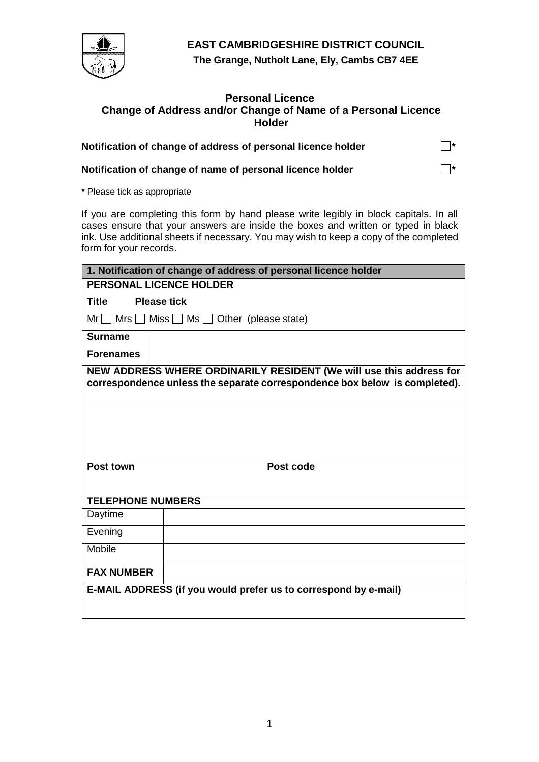

**EAST CAMBRIDGESHIRE DISTRICT COUNCIL**

**The Grange, Nutholt Lane, Ely, Cambs CB7 4EE**

## **Personal Licence Change of Address and/or Change of Name of a Personal Licence Holder**

| Notification of change of address of personal licence holder | $\Box^*$ |
|--------------------------------------------------------------|----------|
|                                                              |          |

**Notification of change of name of personal licence holder**  $\Box^*$ 

\* Please tick as appropriate

If you are completing this form by hand please write legibly in block capitals. In all cases ensure that your answers are inside the boxes and written or typed in black ink. Use additional sheets if necessary. You may wish to keep a copy of the completed form for your records.

| 1. Notification of change of address of personal licence holder |                                                                                                                                                   |  |
|-----------------------------------------------------------------|---------------------------------------------------------------------------------------------------------------------------------------------------|--|
| <b>PERSONAL LICENCE HOLDER</b>                                  |                                                                                                                                                   |  |
| <b>Title</b><br><b>Please tick</b>                              |                                                                                                                                                   |  |
| $Mr \tMrs$ Miss $Mss$ Ms $G$ Other (please state)               |                                                                                                                                                   |  |
| <b>Surname</b>                                                  |                                                                                                                                                   |  |
| <b>Forenames</b>                                                |                                                                                                                                                   |  |
|                                                                 | NEW ADDRESS WHERE ORDINARILY RESIDENT (We will use this address for<br>correspondence unless the separate correspondence box below is completed). |  |
|                                                                 |                                                                                                                                                   |  |
|                                                                 |                                                                                                                                                   |  |
|                                                                 |                                                                                                                                                   |  |
| Post town                                                       | Post code                                                                                                                                         |  |
|                                                                 |                                                                                                                                                   |  |
| <b>TELEPHONE NUMBERS</b>                                        |                                                                                                                                                   |  |
| Daytime                                                         |                                                                                                                                                   |  |
| Evening                                                         |                                                                                                                                                   |  |
| Mobile                                                          |                                                                                                                                                   |  |
| <b>FAX NUMBER</b>                                               |                                                                                                                                                   |  |
| E-MAIL ADDRESS (if you would prefer us to correspond by e-mail) |                                                                                                                                                   |  |
|                                                                 |                                                                                                                                                   |  |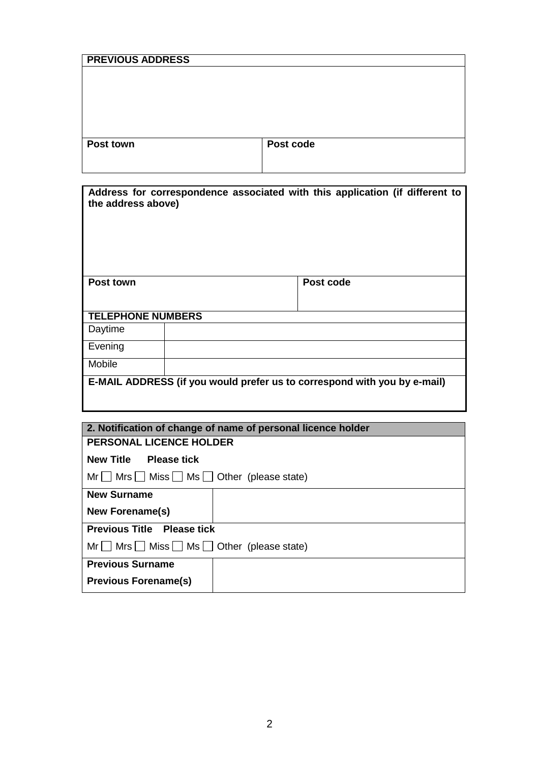| <b>PREVIOUS ADDRESS</b> |           |
|-------------------------|-----------|
|                         |           |
|                         |           |
|                         |           |
|                         |           |
| Post town               | Post code |
|                         |           |

| Address for correspondence associated with this application (if different to<br>the address above) |  |           |  |
|----------------------------------------------------------------------------------------------------|--|-----------|--|
| <b>Post town</b>                                                                                   |  | Post code |  |
| <b>TELEPHONE NUMBERS</b>                                                                           |  |           |  |
| Daytime                                                                                            |  |           |  |
| Evening                                                                                            |  |           |  |
| Mobile                                                                                             |  |           |  |
| E-MAIL ADDRESS (if you would prefer us to correspond with you by e-mail)                           |  |           |  |

| 2. Notification of change of name of personal licence holder |  |  |  |  |
|--------------------------------------------------------------|--|--|--|--|
| <b>PERSONAL LICENCE HOLDER</b>                               |  |  |  |  |
| New Title Please tick                                        |  |  |  |  |
| $Mr \tMrs \tMiss \tMss \tMss$ Other (please state)           |  |  |  |  |
| <b>New Surname</b>                                           |  |  |  |  |
| <b>New Forename(s)</b>                                       |  |  |  |  |
| <b>Previous Title Please tick</b>                            |  |  |  |  |
| $Mr \tMrs$ Miss $\Box$ Ms $\Box$ Other (please state)        |  |  |  |  |
| <b>Previous Surname</b>                                      |  |  |  |  |
| <b>Previous Forename(s)</b>                                  |  |  |  |  |